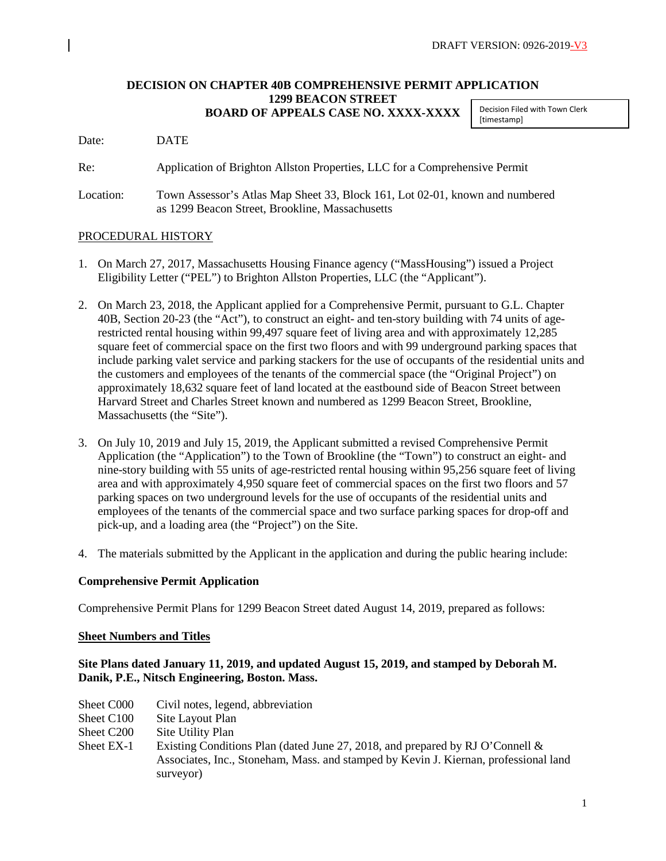## **DECISION ON CHAPTER 40B COMPREHENSIVE PERMIT APPLICATION 1299 BEACON STREET BOARD OF APPEALS CASE NO. XXXX-XXXX**

Decision Filed with Town Clerk [timestamp]

Date: DATE

Re: Application of Brighton Allston Properties, LLC for a Comprehensive Permit

Location: Town Assessor's Atlas Map Sheet 33, Block 161, Lot 02-01, known and numbered as 1299 Beacon Street, Brookline, Massachusetts

## PROCEDURAL HISTORY

- 1. On March 27, 2017, Massachusetts Housing Finance agency ("MassHousing") issued a Project Eligibility Letter ("PEL") to Brighton Allston Properties, LLC (the "Applicant").
- 2. On March 23, 2018, the Applicant applied for a Comprehensive Permit, pursuant to G.L. Chapter 40B, Section 20-23 (the "Act"), to construct an eight- and ten-story building with 74 units of agerestricted rental housing within 99,497 square feet of living area and with approximately 12,285 square feet of commercial space on the first two floors and with 99 underground parking spaces that include parking valet service and parking stackers for the use of occupants of the residential units and the customers and employees of the tenants of the commercial space (the "Original Project") on approximately 18,632 square feet of land located at the eastbound side of Beacon Street between Harvard Street and Charles Street known and numbered as 1299 Beacon Street, Brookline, Massachusetts (the "Site").
- 3. On July 10, 2019 and July 15, 2019, the Applicant submitted a revised Comprehensive Permit Application (the "Application") to the Town of Brookline (the "Town") to construct an eight- and nine-story building with 55 units of age-restricted rental housing within 95,256 square feet of living area and with approximately 4,950 square feet of commercial spaces on the first two floors and 57 parking spaces on two underground levels for the use of occupants of the residential units and employees of the tenants of the commercial space and two surface parking spaces for drop-off and pick-up, and a loading area (the "Project") on the Site.
- 4. The materials submitted by the Applicant in the application and during the public hearing include:

## **Comprehensive Permit Application**

Comprehensive Permit Plans for 1299 Beacon Street dated August 14, 2019, prepared as follows:

## **Sheet Numbers and Titles**

# **Site Plans dated January 11, 2019, and updated August 15, 2019, and stamped by Deborah M. Danik, P.E., Nitsch Engineering, Boston. Mass.**

- Sheet C000 Civil notes, legend, abbreviation
- Sheet C100 Site Layout Plan
- Sheet C200 Site Utility Plan
- Sheet EX-1 Existing Conditions Plan (dated June 27, 2018, and prepared by RJ O'Connell & Associates, Inc., Stoneham, Mass. and stamped by Kevin J. Kiernan, professional land surveyor)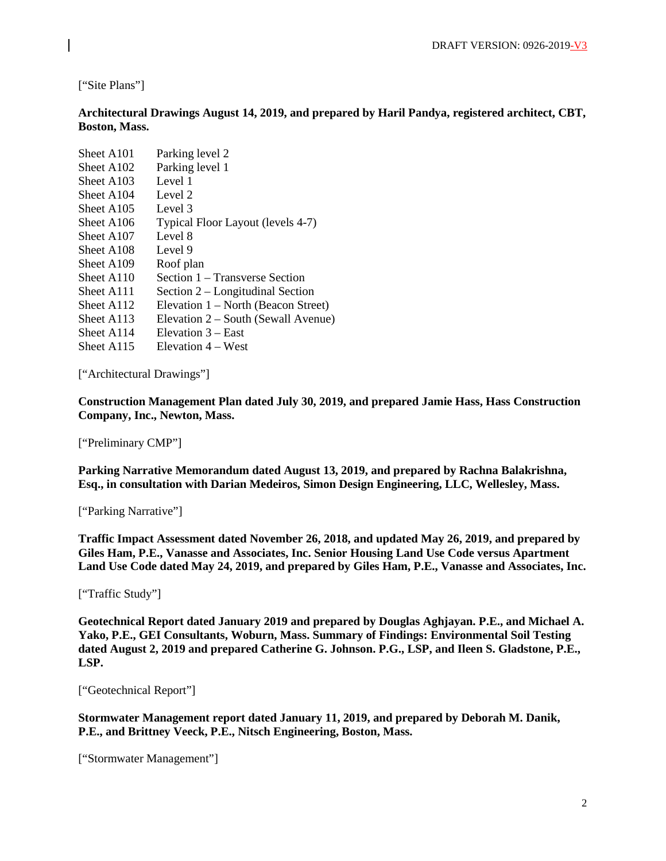["Site Plans"]

**Architectural Drawings August 14, 2019, and prepared by Haril Pandya, registered architect, CBT, Boston, Mass.**

| Parking level 2                     |
|-------------------------------------|
| Parking level 1                     |
| Level 1                             |
| Level 2                             |
| Level 3                             |
| Typical Floor Layout (levels 4-7)   |
| Level 8                             |
| Level 9                             |
| Roof plan                           |
| Section 1 – Transverse Section      |
| Section 2 – Longitudinal Section    |
| Elevation 1 – North (Beacon Street) |
| Elevation 2 – South (Sewall Avenue) |
| Elevation 3 – East                  |
| Elevation 4 – West                  |
|                                     |

["Architectural Drawings"]

**Construction Management Plan dated July 30, 2019, and prepared Jamie Hass, Hass Construction Company, Inc., Newton, Mass.** 

["Preliminary CMP"]

**Parking Narrative Memorandum dated August 13, 2019, and prepared by Rachna Balakrishna, Esq., in consultation with Darian Medeiros, Simon Design Engineering, LLC, Wellesley, Mass.** 

["Parking Narrative"]

**Traffic Impact Assessment dated November 26, 2018, and updated May 26, 2019, and prepared by Giles Ham, P.E., Vanasse and Associates, Inc. Senior Housing Land Use Code versus Apartment Land Use Code dated May 24, 2019, and prepared by Giles Ham, P.E., Vanasse and Associates, Inc.**

["Traffic Study"]

**Geotechnical Report dated January 2019 and prepared by Douglas Aghjayan. P.E., and Michael A. Yako, P.E., GEI Consultants, Woburn, Mass. Summary of Findings: Environmental Soil Testing dated August 2, 2019 and prepared Catherine G. Johnson. P.G., LSP, and Ileen S. Gladstone, P.E., LSP.**

["Geotechnical Report"]

**Stormwater Management report dated January 11, 2019, and prepared by Deborah M. Danik, P.E., and Brittney Veeck, P.E., Nitsch Engineering, Boston, Mass.** 

["Stormwater Management"]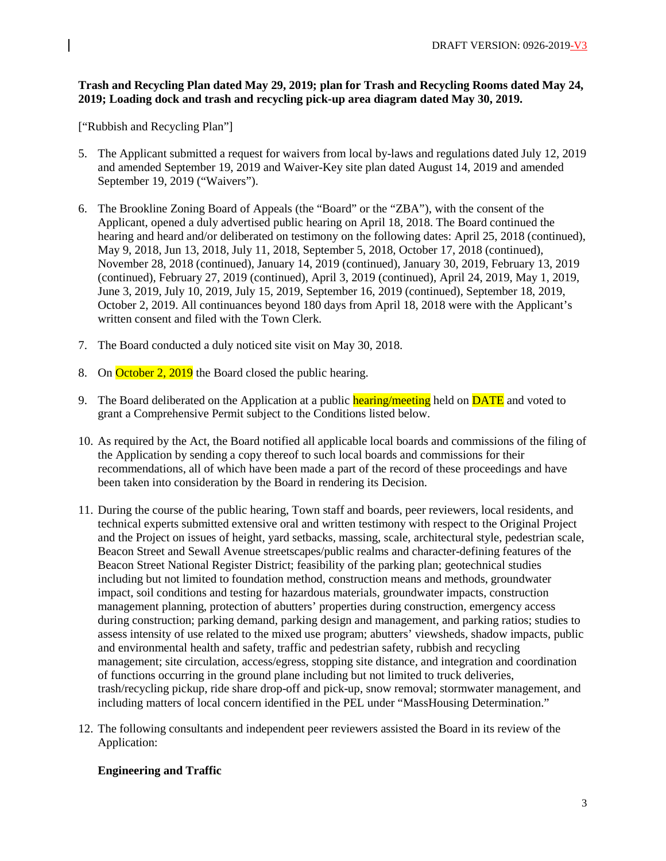# **Trash and Recycling Plan dated May 29, 2019; plan for Trash and Recycling Rooms dated May 24, 2019; Loading dock and trash and recycling pick-up area diagram dated May 30, 2019.**

["Rubbish and Recycling Plan"]

- 5. The Applicant submitted a request for waivers from local by-laws and regulations dated July 12, 2019 and amended September 19, 2019 and Waiver-Key site plan dated August 14, 2019 and amended September 19, 2019 ("Waivers").
- 6. The Brookline Zoning Board of Appeals (the "Board" or the "ZBA"), with the consent of the Applicant, opened a duly advertised public hearing on April 18, 2018. The Board continued the hearing and heard and/or deliberated on testimony on the following dates: April 25, 2018 (continued), May 9, 2018, Jun 13, 2018, July 11, 2018, September 5, 2018, October 17, 2018 (continued), November 28, 2018 (continued), January 14, 2019 (continued), January 30, 2019, February 13, 2019 (continued), February 27, 2019 (continued), April 3, 2019 (continued), April 24, 2019, May 1, 2019, June 3, 2019, July 10, 2019, July 15, 2019, September 16, 2019 (continued), September 18, 2019, October 2, 2019. All continuances beyond 180 days from April 18, 2018 were with the Applicant's written consent and filed with the Town Clerk.
- 7. The Board conducted a duly noticed site visit on May 30, 2018.
- 8. On October 2, 2019 the Board closed the public hearing.
- 9. The Board deliberated on the Application at a public hearing/meeting held on **DATE** and voted to grant a Comprehensive Permit subject to the Conditions listed below.
- 10. As required by the Act, the Board notified all applicable local boards and commissions of the filing of the Application by sending a copy thereof to such local boards and commissions for their recommendations, all of which have been made a part of the record of these proceedings and have been taken into consideration by the Board in rendering its Decision.
- 11. During the course of the public hearing, Town staff and boards, peer reviewers, local residents, and technical experts submitted extensive oral and written testimony with respect to the Original Project and the Project on issues of height, yard setbacks, massing, scale, architectural style, pedestrian scale, Beacon Street and Sewall Avenue streetscapes/public realms and character-defining features of the Beacon Street National Register District; feasibility of the parking plan; geotechnical studies including but not limited to foundation method, construction means and methods, groundwater impact, soil conditions and testing for hazardous materials, groundwater impacts, construction management planning, protection of abutters' properties during construction, emergency access during construction; parking demand, parking design and management, and parking ratios; studies to assess intensity of use related to the mixed use program; abutters' viewsheds, shadow impacts, public and environmental health and safety, traffic and pedestrian safety, rubbish and recycling management; site circulation, access/egress, stopping site distance, and integration and coordination of functions occurring in the ground plane including but not limited to truck deliveries, trash/recycling pickup, ride share drop-off and pick-up, snow removal; stormwater management, and including matters of local concern identified in the PEL under "MassHousing Determination."
- 12. The following consultants and independent peer reviewers assisted the Board in its review of the Application:

# **Engineering and Traffic**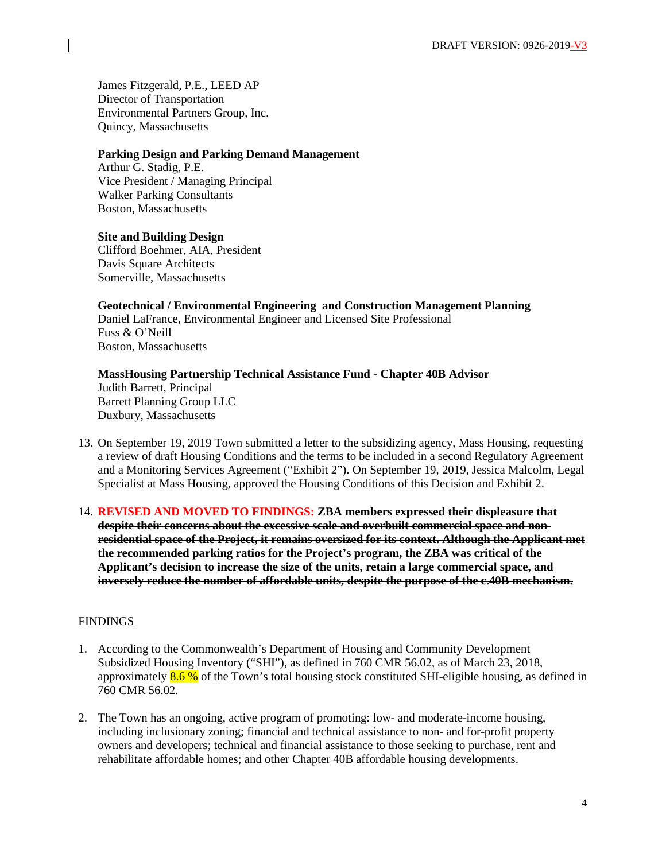James Fitzgerald, P.E., LEED AP Director of Transportation Environmental Partners Group, Inc. Quincy, Massachusetts

#### **Parking Design and Parking Demand Management**

Arthur G. Stadig, P.E. Vice President / Managing Principal Walker Parking Consultants Boston, Massachusetts

#### **Site and Building Design**

Clifford Boehmer, AIA, President Davis Square Architects Somerville, Massachusetts

# **Geotechnical / Environmental Engineering and Construction Management Planning**

Daniel LaFrance, Environmental Engineer and Licensed Site Professional Fuss & O'Neill Boston, Massachusetts

#### **MassHousing Partnership Technical Assistance Fund - Chapter 40B Advisor** Judith Barrett, Principal Barrett Planning Group LLC Duxbury, Massachusetts

- 13. On September 19, 2019 Town submitted a letter to the subsidizing agency, Mass Housing, requesting a review of draft Housing Conditions and the terms to be included in a second Regulatory Agreement and a Monitoring Services Agreement ("Exhibit 2"). On September 19, 2019, Jessica Malcolm, Legal Specialist at Mass Housing, approved the Housing Conditions of this Decision and Exhibit 2.
- 14. **REVISED AND MOVED TO FINDINGS: ZBA members expressed their displeasure that despite their concerns about the excessive scale and overbuilt commercial space and nonresidential space of the Project, it remains oversized for its context. Although the Applicant met the recommended parking ratios for the Project's program, the ZBA was critical of the Applicant's decision to increase the size of the units, retain a large commercial space, and inversely reduce the number of affordable units, despite the purpose of the c.40B mechanism.**

#### **FINDINGS**

- 1. According to the Commonwealth's Department of Housing and Community Development Subsidized Housing Inventory ("SHI"), as defined in 760 CMR 56.02, as of March 23, 2018, approximately  $8.6\%$  of the Town's total housing stock constituted SHI-eligible housing, as defined in 760 CMR 56.02.
- 2. The Town has an ongoing, active program of promoting: low- and moderate-income housing, including inclusionary zoning; financial and technical assistance to non- and for-profit property owners and developers; technical and financial assistance to those seeking to purchase, rent and rehabilitate affordable homes; and other Chapter 40B affordable housing developments.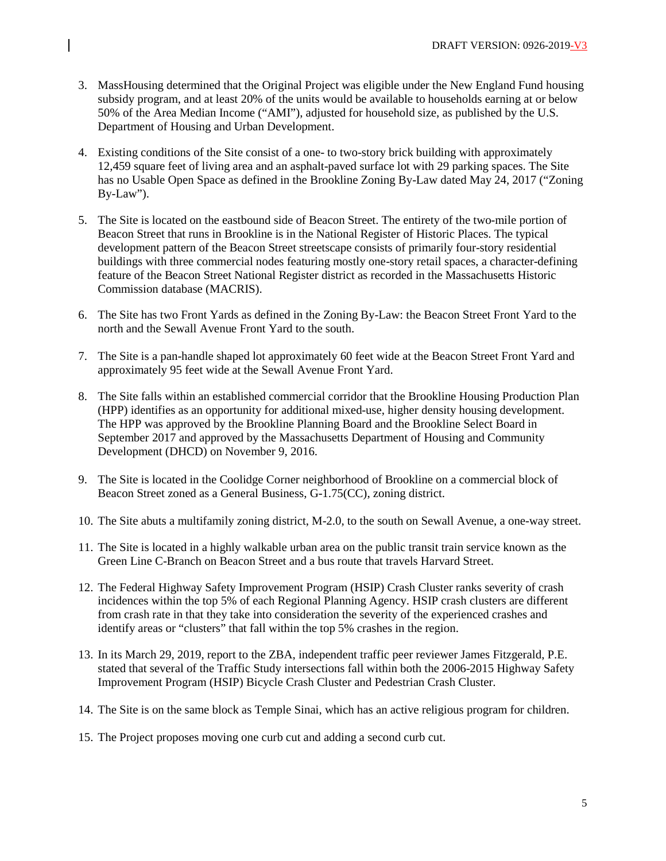- 3. MassHousing determined that the Original Project was eligible under the New England Fund housing subsidy program, and at least 20% of the units would be available to households earning at or below 50% of the Area Median Income ("AMI"), adjusted for household size, as published by the U.S. Department of Housing and Urban Development.
- 4. Existing conditions of the Site consist of a one- to two-story brick building with approximately 12,459 square feet of living area and an asphalt-paved surface lot with 29 parking spaces. The Site has no Usable Open Space as defined in the Brookline Zoning By-Law dated May 24, 2017 ("Zoning By-Law").
- 5. The Site is located on the eastbound side of Beacon Street. The entirety of the two-mile portion of Beacon Street that runs in Brookline is in the National Register of Historic Places. The typical development pattern of the Beacon Street streetscape consists of primarily four-story residential buildings with three commercial nodes featuring mostly one-story retail spaces, a character-defining feature of the Beacon Street National Register district as recorded in the Massachusetts Historic Commission database (MACRIS).
- 6. The Site has two Front Yards as defined in the Zoning By-Law: the Beacon Street Front Yard to the north and the Sewall Avenue Front Yard to the south.
- 7. The Site is a pan-handle shaped lot approximately 60 feet wide at the Beacon Street Front Yard and approximately 95 feet wide at the Sewall Avenue Front Yard.
- 8. The Site falls within an established commercial corridor that the Brookline Housing Production Plan (HPP) identifies as an opportunity for additional mixed-use, higher density housing development. The HPP was approved by the Brookline Planning Board and the Brookline Select Board in September 2017 and approved by the Massachusetts Department of Housing and Community Development (DHCD) on November 9, 2016.
- 9. The Site is located in the Coolidge Corner neighborhood of Brookline on a commercial block of Beacon Street zoned as a General Business, G-1.75(CC), zoning district.
- 10. The Site abuts a multifamily zoning district, M-2.0, to the south on Sewall Avenue, a one-way street.
- 11. The Site is located in a highly walkable urban area on the public transit train service known as the Green Line C-Branch on Beacon Street and a bus route that travels Harvard Street.
- 12. The Federal Highway Safety Improvement Program (HSIP) Crash Cluster ranks severity of crash incidences within the top 5% of each Regional Planning Agency. HSIP crash clusters are different from crash rate in that they take into consideration the severity of the experienced crashes and identify areas or "clusters" that fall within the top 5% crashes in the region.
- 13. In its March 29, 2019, report to the ZBA, independent traffic peer reviewer James Fitzgerald, P.E. stated that several of the Traffic Study intersections fall within both the 2006-2015 Highway Safety Improvement Program (HSIP) Bicycle Crash Cluster and Pedestrian Crash Cluster.
- 14. The Site is on the same block as Temple Sinai, which has an active religious program for children.
- 15. The Project proposes moving one curb cut and adding a second curb cut.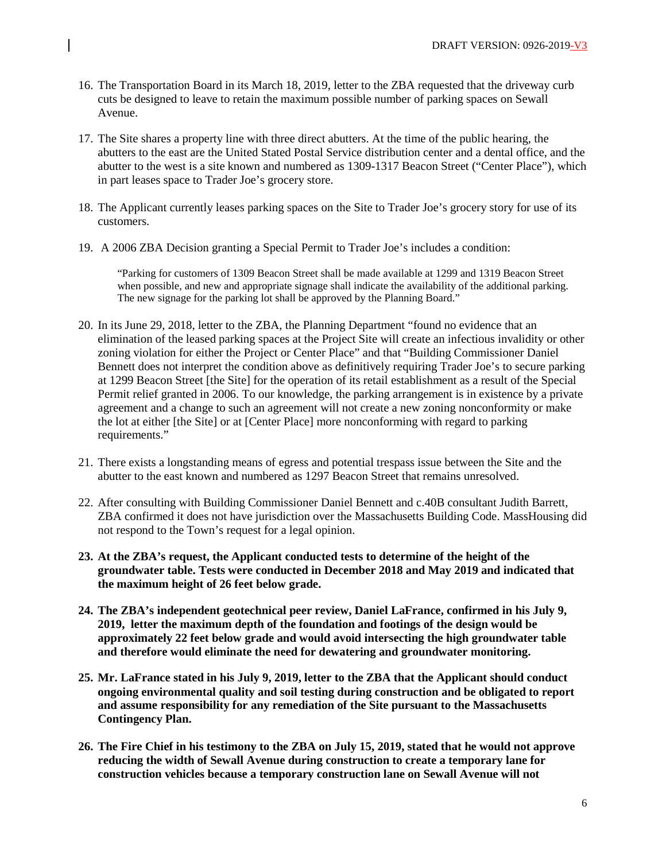- 16. The Transportation Board in its March 18, 2019, letter to the ZBA requested that the driveway curb cuts be designed to leave to retain the maximum possible number of parking spaces on Sewall Avenue.
- 17. The Site shares a property line with three direct abutters. At the time of the public hearing, the abutters to the east are the United Stated Postal Service distribution center and a dental office, and the abutter to the west is a site known and numbered as 1309-1317 Beacon Street ("Center Place"), which in part leases space to Trader Joe's grocery store.
- 18. The Applicant currently leases parking spaces on the Site to Trader Joe's grocery story for use of its customers.
- 19. A 2006 ZBA Decision granting a Special Permit to Trader Joe's includes a condition:

"Parking for customers of 1309 Beacon Street shall be made available at 1299 and 1319 Beacon Street when possible, and new and appropriate signage shall indicate the availability of the additional parking. The new signage for the parking lot shall be approved by the Planning Board."

- 20. In its June 29, 2018, letter to the ZBA, the Planning Department "found no evidence that an elimination of the leased parking spaces at the Project Site will create an infectious invalidity or other zoning violation for either the Project or Center Place" and that "Building Commissioner Daniel Bennett does not interpret the condition above as definitively requiring Trader Joe's to secure parking at 1299 Beacon Street [the Site] for the operation of its retail establishment as a result of the Special Permit relief granted in 2006. To our knowledge, the parking arrangement is in existence by a private agreement and a change to such an agreement will not create a new zoning nonconformity or make the lot at either [the Site] or at [Center Place] more nonconforming with regard to parking requirements."
- 21. There exists a longstanding means of egress and potential trespass issue between the Site and the abutter to the east known and numbered as 1297 Beacon Street that remains unresolved.
- 22. After consulting with Building Commissioner Daniel Bennett and c.40B consultant Judith Barrett, ZBA confirmed it does not have jurisdiction over the Massachusetts Building Code. MassHousing did not respond to the Town's request for a legal opinion.
- **23. At the ZBA's request, the Applicant conducted tests to determine of the height of the groundwater table. Tests were conducted in December 2018 and May 2019 and indicated that the maximum height of 26 feet below grade.**
- **24. The ZBA's independent geotechnical peer review, Daniel LaFrance, confirmed in his July 9, 2019, letter the maximum depth of the foundation and footings of the design would be approximately 22 feet below grade and would avoid intersecting the high groundwater table and therefore would eliminate the need for dewatering and groundwater monitoring.**
- **25. Mr. LaFrance stated in his July 9, 2019, letter to the ZBA that the Applicant should conduct ongoing environmental quality and soil testing during construction and be obligated to report and assume responsibility for any remediation of the Site pursuant to the Massachusetts Contingency Plan.**
- **26. The Fire Chief in his testimony to the ZBA on July 15, 2019, stated that he would not approve reducing the width of Sewall Avenue during construction to create a temporary lane for construction vehicles because a temporary construction lane on Sewall Avenue will not**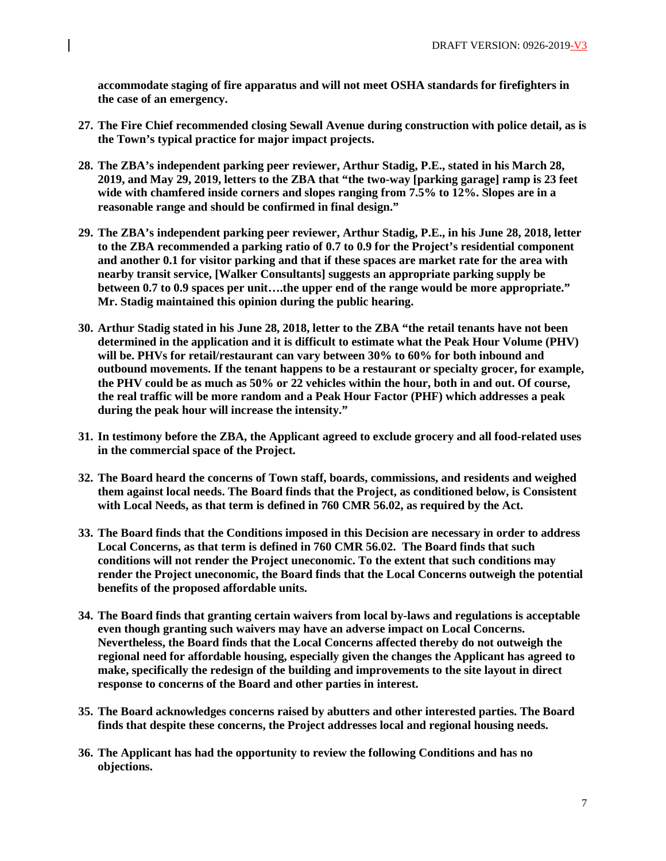**accommodate staging of fire apparatus and will not meet OSHA standards for firefighters in the case of an emergency.** 

- **27. The Fire Chief recommended closing Sewall Avenue during construction with police detail, as is the Town's typical practice for major impact projects.**
- **28. The ZBA's independent parking peer reviewer, Arthur Stadig, P.E., stated in his March 28, 2019, and May 29, 2019, letters to the ZBA that "the two-way [parking garage] ramp is 23 feet wide with chamfered inside corners and slopes ranging from 7.5% to 12%. Slopes are in a reasonable range and should be confirmed in final design."**
- **29. The ZBA's independent parking peer reviewer, Arthur Stadig, P.E., in his June 28, 2018, letter to the ZBA recommended a parking ratio of 0.7 to 0.9 for the Project's residential component and another 0.1 for visitor parking and that if these spaces are market rate for the area with nearby transit service, [Walker Consultants] suggests an appropriate parking supply be between 0.7 to 0.9 spaces per unit….the upper end of the range would be more appropriate." Mr. Stadig maintained this opinion during the public hearing.**
- **30. Arthur Stadig stated in his June 28, 2018, letter to the ZBA "the retail tenants have not been determined in the application and it is difficult to estimate what the Peak Hour Volume (PHV) will be. PHVs for retail/restaurant can vary between 30% to 60% for both inbound and outbound movements. If the tenant happens to be a restaurant or specialty grocer, for example, the PHV could be as much as 50% or 22 vehicles within the hour, both in and out. Of course, the real traffic will be more random and a Peak Hour Factor (PHF) which addresses a peak during the peak hour will increase the intensity."**
- **31. In testimony before the ZBA, the Applicant agreed to exclude grocery and all food-related uses in the commercial space of the Project.**
- **32. The Board heard the concerns of Town staff, boards, commissions, and residents and weighed them against local needs. The Board finds that the Project, as conditioned below, is Consistent with Local Needs, as that term is defined in 760 CMR 56.02, as required by the Act.**
- **33. The Board finds that the Conditions imposed in this Decision are necessary in order to address Local Concerns, as that term is defined in 760 CMR 56.02. The Board finds that such conditions will not render the Project uneconomic. To the extent that such conditions may render the Project uneconomic, the Board finds that the Local Concerns outweigh the potential benefits of the proposed affordable units.**
- **34. The Board finds that granting certain waivers from local by-laws and regulations is acceptable even though granting such waivers may have an adverse impact on Local Concerns. Nevertheless, the Board finds that the Local Concerns affected thereby do not outweigh the regional need for affordable housing, especially given the changes the Applicant has agreed to make, specifically the redesign of the building and improvements to the site layout in direct response to concerns of the Board and other parties in interest.**
- **35. The Board acknowledges concerns raised by abutters and other interested parties. The Board finds that despite these concerns, the Project addresses local and regional housing needs.**
- **36. The Applicant has had the opportunity to review the following Conditions and has no objections.**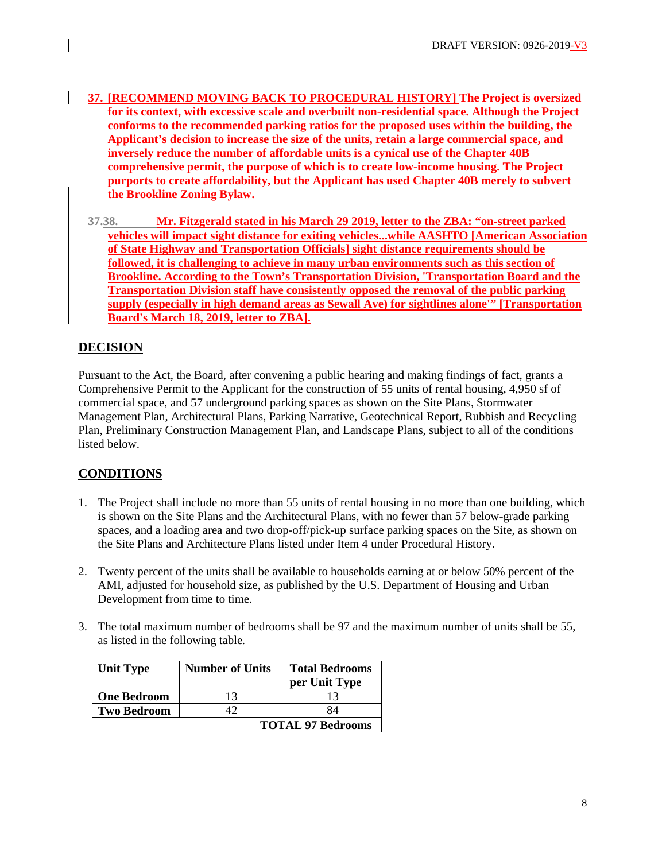- **37. [RECOMMEND MOVING BACK TO PROCEDURAL HISTORY] The Project is oversized for its context, with excessive scale and overbuilt non-residential space. Although the Project conforms to the recommended parking ratios for the proposed uses within the building, the Applicant's decision to increase the size of the units, retain a large commercial space, and inversely reduce the number of affordable units is a cynical use of the Chapter 40B comprehensive permit, the purpose of which is to create low-income housing. The Project purports to create affordability, but the Applicant has used Chapter 40B merely to subvert the Brookline Zoning Bylaw.**
- **37.38. Mr. Fitzgerald stated in his March 29 2019, letter to the ZBA: "on-street parked vehicles will impact sight distance for exiting vehicles...while AASHTO [American Association of State Highway and Transportation Officials] sight distance requirements should be followed, it is challenging to achieve in many urban environments such as this section of Brookline. According to the Town's Transportation Division, 'Transportation Board and the Transportation Division staff have consistently opposed the removal of the public parking supply (especially in high demand areas as Sewall Ave) for sightlines alone'" [Transportation Board's March 18, 2019, letter to ZBA].**

# **DECISION**

Pursuant to the Act, the Board, after convening a public hearing and making findings of fact, grants a Comprehensive Permit to the Applicant for the construction of 55 units of rental housing, 4,950 sf of commercial space, and 57 underground parking spaces as shown on the Site Plans, Stormwater Management Plan, Architectural Plans, Parking Narrative, Geotechnical Report, Rubbish and Recycling Plan, Preliminary Construction Management Plan, and Landscape Plans, subject to all of the conditions listed below.

# **CONDITIONS**

- 1. The Project shall include no more than 55 units of rental housing in no more than one building, which is shown on the Site Plans and the Architectural Plans, with no fewer than 57 below-grade parking spaces, and a loading area and two drop-off/pick-up surface parking spaces on the Site, as shown on the Site Plans and Architecture Plans listed under Item 4 under Procedural History.
- 2. Twenty percent of the units shall be available to households earning at or below 50% percent of the AMI, adjusted for household size, as published by the U.S. Department of Housing and Urban Development from time to time.
- 3. The total maximum number of bedrooms shall be 97 and the maximum number of units shall be 55, as listed in the following table*.*

| <b>Unit Type</b>   | <b>Number of Units</b>   | <b>Total Bedrooms</b><br>per Unit Type |
|--------------------|--------------------------|----------------------------------------|
| <b>One Bedroom</b> | 13                       | 13                                     |
| <b>Two Bedroom</b> |                          | 84                                     |
|                    | <b>TOTAL 97 Bedrooms</b> |                                        |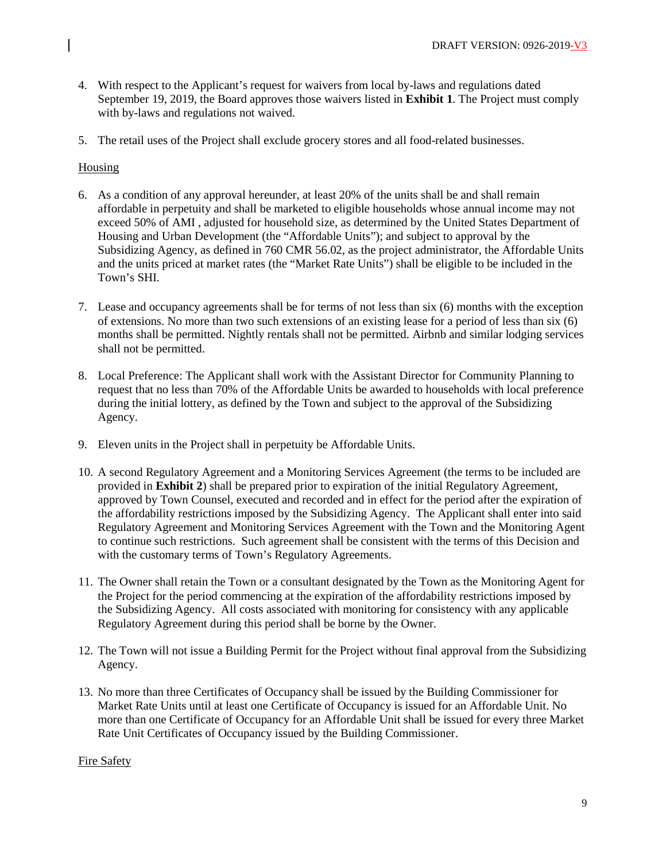- 4. With respect to the Applicant's request for waivers from local by-laws and regulations dated September 19, 2019, the Board approves those waivers listed in **Exhibit 1**. The Project must comply with by-laws and regulations not waived.
- 5. The retail uses of the Project shall exclude grocery stores and all food-related businesses.

# Housing

- 6. As a condition of any approval hereunder, at least 20% of the units shall be and shall remain affordable in perpetuity and shall be marketed to eligible households whose annual income may not exceed 50% of AMI , adjusted for household size, as determined by the United States Department of Housing and Urban Development (the "Affordable Units"); and subject to approval by the Subsidizing Agency, as defined in 760 CMR 56.02, as the project administrator, the Affordable Units and the units priced at market rates (the "Market Rate Units") shall be eligible to be included in the Town's SHI.
- 7. Lease and occupancy agreements shall be for terms of not less than six (6) months with the exception of extensions. No more than two such extensions of an existing lease for a period of less than six (6) months shall be permitted. Nightly rentals shall not be permitted. Airbnb and similar lodging services shall not be permitted.
- 8. Local Preference: The Applicant shall work with the Assistant Director for Community Planning to request that no less than 70% of the Affordable Units be awarded to households with local preference during the initial lottery, as defined by the Town and subject to the approval of the Subsidizing Agency.
- 9. Eleven units in the Project shall in perpetuity be Affordable Units.
- 10. A second Regulatory Agreement and a Monitoring Services Agreement (the terms to be included are provided in **Exhibit 2**) shall be prepared prior to expiration of the initial Regulatory Agreement, approved by Town Counsel, executed and recorded and in effect for the period after the expiration of the affordability restrictions imposed by the Subsidizing Agency. The Applicant shall enter into said Regulatory Agreement and Monitoring Services Agreement with the Town and the Monitoring Agent to continue such restrictions. Such agreement shall be consistent with the terms of this Decision and with the customary terms of Town's Regulatory Agreements.
- 11. The Owner shall retain the Town or a consultant designated by the Town as the Monitoring Agent for the Project for the period commencing at the expiration of the affordability restrictions imposed by the Subsidizing Agency. All costs associated with monitoring for consistency with any applicable Regulatory Agreement during this period shall be borne by the Owner.
- 12. The Town will not issue a Building Permit for the Project without final approval from the Subsidizing Agency.
- 13. No more than three Certificates of Occupancy shall be issued by the Building Commissioner for Market Rate Units until at least one Certificate of Occupancy is issued for an Affordable Unit. No more than one Certificate of Occupancy for an Affordable Unit shall be issued for every three Market Rate Unit Certificates of Occupancy issued by the Building Commissioner.

## Fire Safety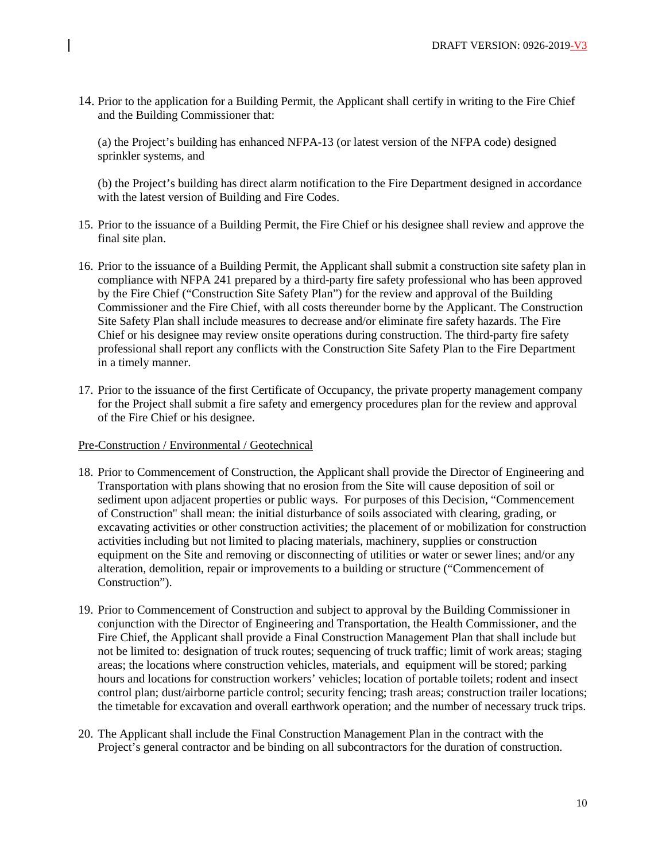14. Prior to the application for a Building Permit, the Applicant shall certify in writing to the Fire Chief and the Building Commissioner that:

(a) the Project's building has enhanced NFPA-13 (or latest version of the NFPA code) designed sprinkler systems, and

(b) the Project's building has direct alarm notification to the Fire Department designed in accordance with the latest version of Building and Fire Codes.

- 15. Prior to the issuance of a Building Permit, the Fire Chief or his designee shall review and approve the final site plan.
- 16. Prior to the issuance of a Building Permit, the Applicant shall submit a construction site safety plan in compliance with NFPA 241 prepared by a third-party fire safety professional who has been approved by the Fire Chief ("Construction Site Safety Plan") for the review and approval of the Building Commissioner and the Fire Chief, with all costs thereunder borne by the Applicant. The Construction Site Safety Plan shall include measures to decrease and/or eliminate fire safety hazards. The Fire Chief or his designee may review onsite operations during construction. The third-party fire safety professional shall report any conflicts with the Construction Site Safety Plan to the Fire Department in a timely manner.
- 17. Prior to the issuance of the first Certificate of Occupancy, the private property management company for the Project shall submit a fire safety and emergency procedures plan for the review and approval of the Fire Chief or his designee.

#### Pre-Construction / Environmental / Geotechnical

- 18. Prior to Commencement of Construction, the Applicant shall provide the Director of Engineering and Transportation with plans showing that no erosion from the Site will cause deposition of soil or sediment upon adjacent properties or public ways. For purposes of this Decision, "Commencement of Construction" shall mean: the initial disturbance of soils associated with clearing, grading, or excavating activities or other construction activities; the placement of or mobilization for construction activities including but not limited to placing materials, machinery, supplies or construction equipment on the Site and removing or disconnecting of utilities or water or sewer lines; and/or any alteration, demolition, repair or improvements to a building or structure ("Commencement of Construction").
- 19. Prior to Commencement of Construction and subject to approval by the Building Commissioner in conjunction with the Director of Engineering and Transportation, the Health Commissioner, and the Fire Chief, the Applicant shall provide a Final Construction Management Plan that shall include but not be limited to: designation of truck routes; sequencing of truck traffic; limit of work areas; staging areas; the locations where construction vehicles, materials, and equipment will be stored; parking hours and locations for construction workers' vehicles; location of portable toilets; rodent and insect control plan; dust/airborne particle control; security fencing; trash areas; construction trailer locations; the timetable for excavation and overall earthwork operation; and the number of necessary truck trips.
- 20. The Applicant shall include the Final Construction Management Plan in the contract with the Project's general contractor and be binding on all subcontractors for the duration of construction.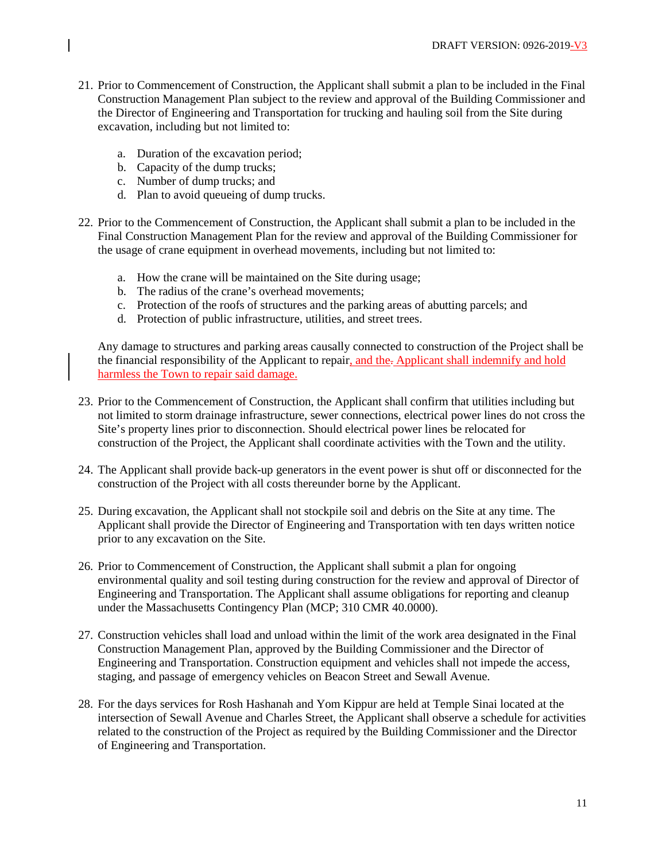- 21. Prior to Commencement of Construction, the Applicant shall submit a plan to be included in the Final Construction Management Plan subject to the review and approval of the Building Commissioner and the Director of Engineering and Transportation for trucking and hauling soil from the Site during excavation, including but not limited to:
	- a. Duration of the excavation period;
	- b. Capacity of the dump trucks;
	- c. Number of dump trucks; and
	- d. Plan to avoid queueing of dump trucks.
- 22. Prior to the Commencement of Construction, the Applicant shall submit a plan to be included in the Final Construction Management Plan for the review and approval of the Building Commissioner for the usage of crane equipment in overhead movements, including but not limited to:
	- a. How the crane will be maintained on the Site during usage;
	- b. The radius of the crane's overhead movements;
	- c. Protection of the roofs of structures and the parking areas of abutting parcels; and
	- d. Protection of public infrastructure, utilities, and street trees.

Any damage to structures and parking areas causally connected to construction of the Project shall be the financial responsibility of the Applicant to repair, and the. Applicant shall indemnify and hold harmless the Town to repair said damage.

- 23. Prior to the Commencement of Construction, the Applicant shall confirm that utilities including but not limited to storm drainage infrastructure, sewer connections, electrical power lines do not cross the Site's property lines prior to disconnection. Should electrical power lines be relocated for construction of the Project, the Applicant shall coordinate activities with the Town and the utility.
- 24. The Applicant shall provide back-up generators in the event power is shut off or disconnected for the construction of the Project with all costs thereunder borne by the Applicant.
- 25. During excavation, the Applicant shall not stockpile soil and debris on the Site at any time. The Applicant shall provide the Director of Engineering and Transportation with ten days written notice prior to any excavation on the Site.
- 26. Prior to Commencement of Construction, the Applicant shall submit a plan for ongoing environmental quality and soil testing during construction for the review and approval of Director of Engineering and Transportation. The Applicant shall assume obligations for reporting and cleanup under the Massachusetts Contingency Plan (MCP; 310 CMR 40.0000).
- 27. Construction vehicles shall load and unload within the limit of the work area designated in the Final Construction Management Plan, approved by the Building Commissioner and the Director of Engineering and Transportation. Construction equipment and vehicles shall not impede the access, staging, and passage of emergency vehicles on Beacon Street and Sewall Avenue.
- 28. For the days services for Rosh Hashanah and Yom Kippur are held at Temple Sinai located at the intersection of Sewall Avenue and Charles Street, the Applicant shall observe a schedule for activities related to the construction of the Project as required by the Building Commissioner and the Director of Engineering and Transportation.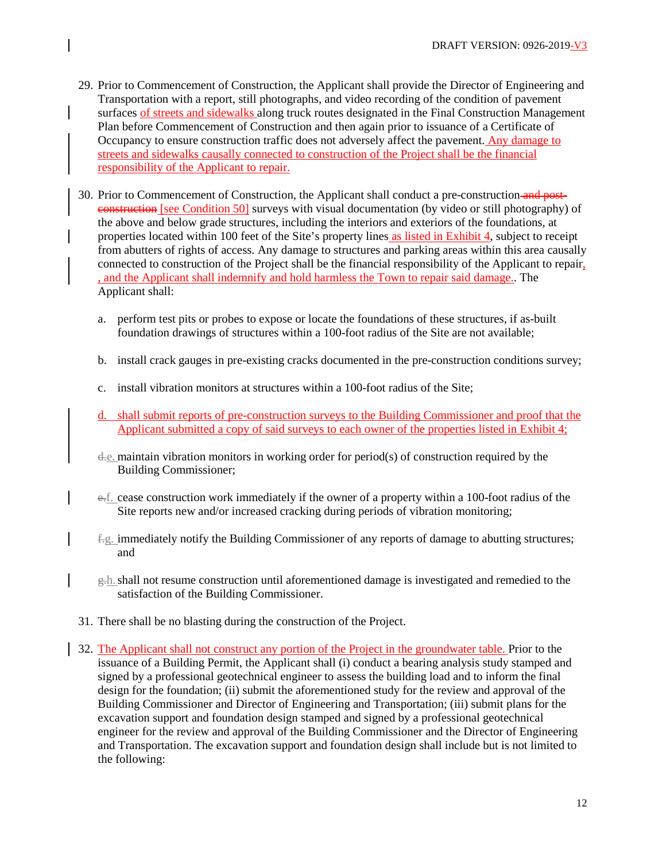- 29. Prior to Commencement of Construction, the Applicant shall provide the Director of Engineering and Transportation with a report, still photographs, and video recording of the condition of pavement surfaces of streets and sidewalks along truck routes designated in the Final Construction Management Plan before Commencement of Construction and then again prior to issuance of a Certificate of Occupancy to ensure construction traffic does not adversely affect the pavement. Any damage to streets and sidewalks causally connected to construction of the Project shall be the financial responsibility of the Applicant to repair.
- 30. Prior to Commencement of Construction, the Applicant shall conduct a pre-construction and postconstruction [see Condition 50] surveys with visual documentation (by video or still photography) of the above and below grade structures, including the interiors and exteriors of the foundations, at properties located within 100 feet of the Site's property lines as listed in Exhibit 4, subject to receipt from abutters of rights of access. Any damage to structures and parking areas within this area causally connected to construction of the Project shall be the financial responsibility of the Applicant to repair, , and the Applicant shall indemnify and hold harmless the Town to repair said damage.. The Applicant shall:
	- a. perform test pits or probes to expose or locate the foundations of these structures, if as-built foundation drawings of structures within a 100-foot radius of the Site are not available;
	- b. install crack gauges in pre-existing cracks documented in the pre-construction conditions survey;
	- c. install vibration monitors at structures within a 100-foot radius of the Site;
	- d. shall submit reports of pre-construction surveys to the Building Commissioner and proof that the Applicant submitted a copy of said surveys to each owner of the properties listed in Exhibit 4;
	- d.e. maintain vibration monitors in working order for period(s) of construction required by the Building Commissioner;
	- e.f. cease construction work immediately if the owner of a property within a 100-foot radius of the Site reports new and/or increased cracking during periods of vibration monitoring;
	- $f_{\rm g}$ . immediately notify the Building Commissioner of any reports of damage to abutting structures; and
	- g.h.shall not resume construction until aforementioned damage is investigated and remedied to the satisfaction of the Building Commissioner.
- 31. There shall be no blasting during the construction of the Project.
- 32. The Applicant shall not construct any portion of the Project in the groundwater table. Prior to the issuance of a Building Permit, the Applicant shall (i) conduct a bearing analysis study stamped and signed by a professional geotechnical engineer to assess the building load and to inform the final design for the foundation; (ii) submit the aforementioned study for the review and approval of the Building Commissioner and Director of Engineering and Transportation; (iii) submit plans for the excavation support and foundation design stamped and signed by a professional geotechnical engineer for the review and approval of the Building Commissioner and the Director of Engineering and Transportation. The excavation support and foundation design shall include but is not limited to the following: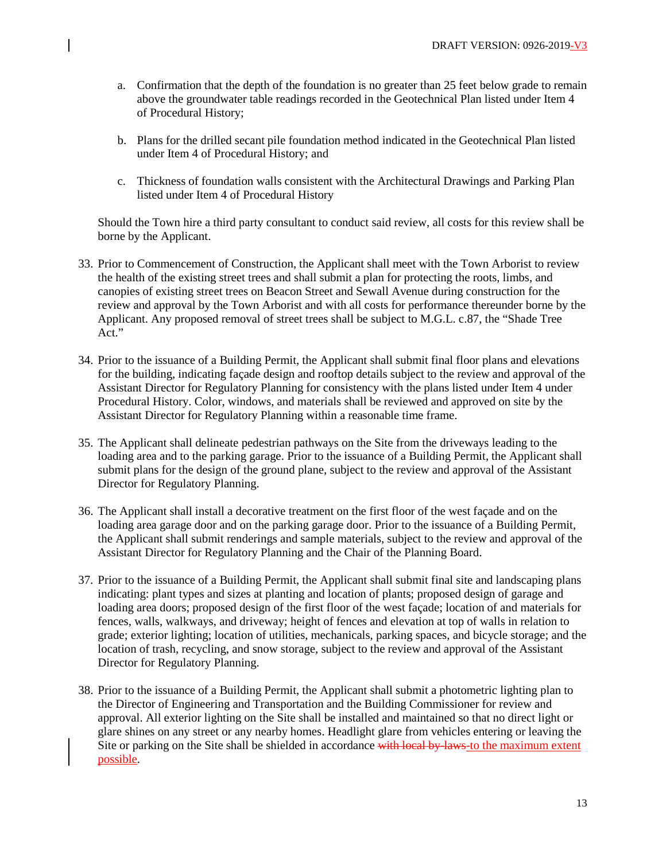- a. Confirmation that the depth of the foundation is no greater than 25 feet below grade to remain above the groundwater table readings recorded in the Geotechnical Plan listed under Item 4 of Procedural History;
- b. Plans for the drilled secant pile foundation method indicated in the Geotechnical Plan listed under Item 4 of Procedural History; and
- c. Thickness of foundation walls consistent with the Architectural Drawings and Parking Plan listed under Item 4 of Procedural History

Should the Town hire a third party consultant to conduct said review, all costs for this review shall be borne by the Applicant.

- 33. Prior to Commencement of Construction, the Applicant shall meet with the Town Arborist to review the health of the existing street trees and shall submit a plan for protecting the roots, limbs, and canopies of existing street trees on Beacon Street and Sewall Avenue during construction for the review and approval by the Town Arborist and with all costs for performance thereunder borne by the Applicant. Any proposed removal of street trees shall be subject to M.G.L. c.87, the "Shade Tree Act."
- 34. Prior to the issuance of a Building Permit, the Applicant shall submit final floor plans and elevations for the building, indicating façade design and rooftop details subject to the review and approval of the Assistant Director for Regulatory Planning for consistency with the plans listed under Item 4 under Procedural History. Color, windows, and materials shall be reviewed and approved on site by the Assistant Director for Regulatory Planning within a reasonable time frame.
- 35. The Applicant shall delineate pedestrian pathways on the Site from the driveways leading to the loading area and to the parking garage. Prior to the issuance of a Building Permit, the Applicant shall submit plans for the design of the ground plane, subject to the review and approval of the Assistant Director for Regulatory Planning.
- 36. The Applicant shall install a decorative treatment on the first floor of the west façade and on the loading area garage door and on the parking garage door. Prior to the issuance of a Building Permit, the Applicant shall submit renderings and sample materials, subject to the review and approval of the Assistant Director for Regulatory Planning and the Chair of the Planning Board.
- 37. Prior to the issuance of a Building Permit, the Applicant shall submit final site and landscaping plans indicating: plant types and sizes at planting and location of plants; proposed design of garage and loading area doors; proposed design of the first floor of the west façade; location of and materials for fences, walls, walkways, and driveway; height of fences and elevation at top of walls in relation to grade; exterior lighting; location of utilities, mechanicals, parking spaces, and bicycle storage; and the location of trash, recycling, and snow storage, subject to the review and approval of the Assistant Director for Regulatory Planning.
- 38. Prior to the issuance of a Building Permit, the Applicant shall submit a photometric lighting plan to the Director of Engineering and Transportation and the Building Commissioner for review and approval. All exterior lighting on the Site shall be installed and maintained so that no direct light or glare shines on any street or any nearby homes. Headlight glare from vehicles entering or leaving the Site or parking on the Site shall be shielded in accordance with local by-laws-to the maximum extent possible.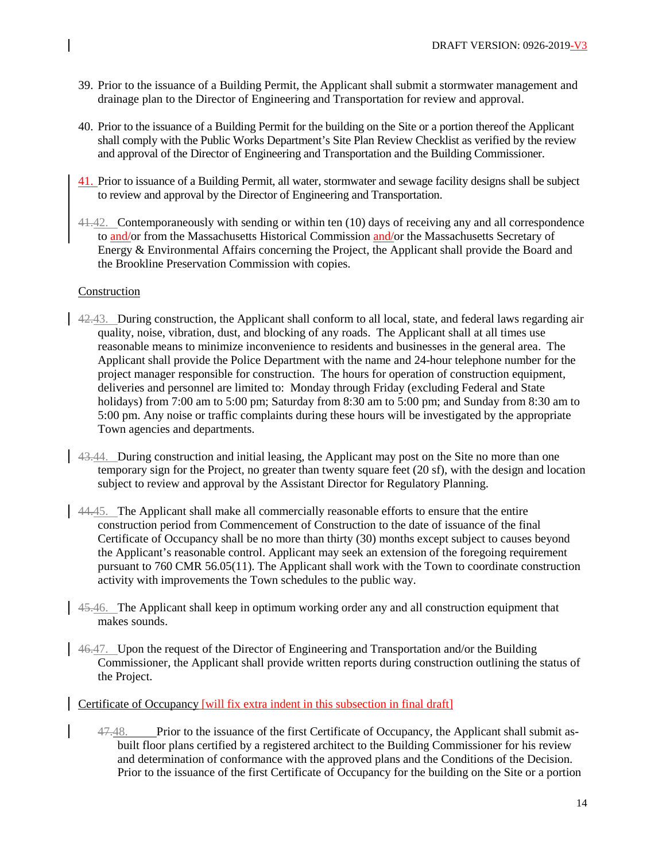- 39. Prior to the issuance of a Building Permit, the Applicant shall submit a stormwater management and drainage plan to the Director of Engineering and Transportation for review and approval.
- 40. Prior to the issuance of a Building Permit for the building on the Site or a portion thereof the Applicant shall comply with the Public Works Department's Site Plan Review Checklist as verified by the review and approval of the Director of Engineering and Transportation and the Building Commissioner.
- 41. Prior to issuance of a Building Permit, all water, stormwater and sewage facility designs shall be subject to review and approval by the Director of Engineering and Transportation.
- 41.42. Contemporaneously with sending or within ten (10) days of receiving any and all correspondence to and/or from the Massachusetts Historical Commission and/or the Massachusetts Secretary of Energy & Environmental Affairs concerning the Project, the Applicant shall provide the Board and the Brookline Preservation Commission with copies.

## Construction

- 42.43. During construction, the Applicant shall conform to all local, state, and federal laws regarding air quality, noise, vibration, dust, and blocking of any roads. The Applicant shall at all times use reasonable means to minimize inconvenience to residents and businesses in the general area. The Applicant shall provide the Police Department with the name and 24-hour telephone number for the project manager responsible for construction. The hours for operation of construction equipment, deliveries and personnel are limited to: Monday through Friday (excluding Federal and State holidays) from 7:00 am to 5:00 pm; Saturday from 8:30 am to 5:00 pm; and Sunday from 8:30 am to 5:00 pm. Any noise or traffic complaints during these hours will be investigated by the appropriate Town agencies and departments.
- 43.44. During construction and initial leasing, the Applicant may post on the Site no more than one temporary sign for the Project, no greater than twenty square feet (20 sf), with the design and location subject to review and approval by the Assistant Director for Regulatory Planning.
- 44.45. The Applicant shall make all commercially reasonable efforts to ensure that the entire construction period from Commencement of Construction to the date of issuance of the final Certificate of Occupancy shall be no more than thirty (30) months except subject to causes beyond the Applicant's reasonable control. Applicant may seek an extension of the foregoing requirement pursuant to 760 CMR 56.05(11). The Applicant shall work with the Town to coordinate construction activity with improvements the Town schedules to the public way.
- 45.46. The Applicant shall keep in optimum working order any and all construction equipment that makes sounds.
- 46.47. Upon the request of the Director of Engineering and Transportation and/or the Building Commissioner, the Applicant shall provide written reports during construction outlining the status of the Project.

## Certificate of Occupancy [will fix extra indent in this subsection in final draft]

47.48. Prior to the issuance of the first Certificate of Occupancy, the Applicant shall submit asbuilt floor plans certified by a registered architect to the Building Commissioner for his review and determination of conformance with the approved plans and the Conditions of the Decision. Prior to the issuance of the first Certificate of Occupancy for the building on the Site or a portion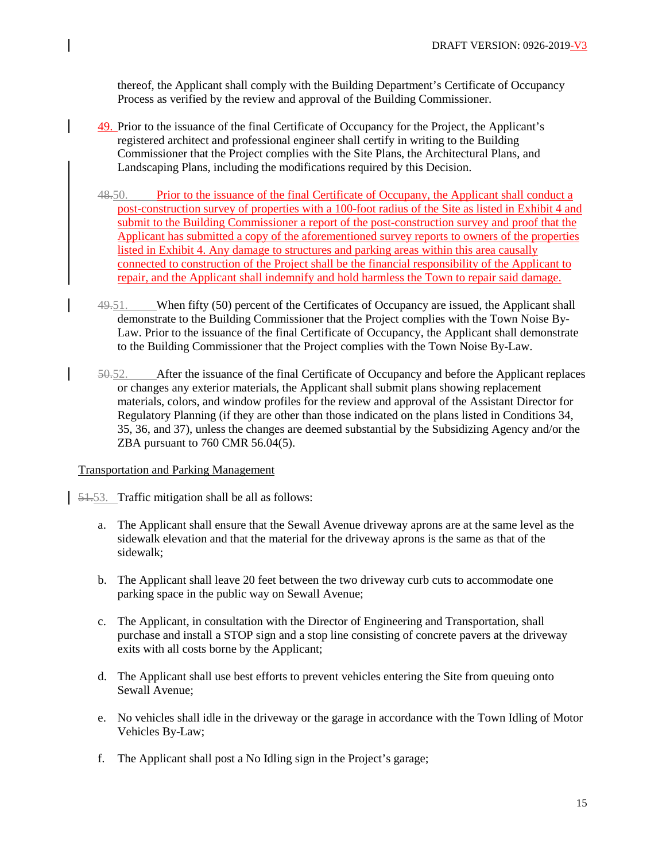thereof, the Applicant shall comply with the Building Department's Certificate of Occupancy Process as verified by the review and approval of the Building Commissioner.

- 49. Prior to the issuance of the final Certificate of Occupancy for the Project, the Applicant's registered architect and professional engineer shall certify in writing to the Building Commissioner that the Project complies with the Site Plans, the Architectural Plans, and Landscaping Plans, including the modifications required by this Decision.
- 48.50. Prior to the issuance of the final Certificate of Occupany, the Applicant shall conduct a post-construction survey of properties with a 100-foot radius of the Site as listed in Exhibit 4 and submit to the Building Commissioner a report of the post-construction survey and proof that the Applicant has submitted a copy of the aforementioned survey reports to owners of the properties listed in Exhibit 4. Any damage to structures and parking areas within this area causally connected to construction of the Project shall be the financial responsibility of the Applicant to repair, and the Applicant shall indemnify and hold harmless the Town to repair said damage.
- 49.51. When fifty (50) percent of the Certificates of Occupancy are issued, the Applicant shall demonstrate to the Building Commissioner that the Project complies with the Town Noise By-Law. Prior to the issuance of the final Certificate of Occupancy, the Applicant shall demonstrate to the Building Commissioner that the Project complies with the Town Noise By-Law.
- 50.52. After the issuance of the final Certificate of Occupancy and before the Applicant replaces or changes any exterior materials, the Applicant shall submit plans showing replacement materials, colors, and window profiles for the review and approval of the Assistant Director for Regulatory Planning (if they are other than those indicated on the plans listed in Conditions 34, 35, 36, and 37), unless the changes are deemed substantial by the Subsidizing Agency and/or the ZBA pursuant to 760 CMR 56.04(5).

## Transportation and Parking Management

51.53. Traffic mitigation shall be all as follows:

- a. The Applicant shall ensure that the Sewall Avenue driveway aprons are at the same level as the sidewalk elevation and that the material for the driveway aprons is the same as that of the sidewalk;
- b. The Applicant shall leave 20 feet between the two driveway curb cuts to accommodate one parking space in the public way on Sewall Avenue;
- c. The Applicant, in consultation with the Director of Engineering and Transportation, shall purchase and install a STOP sign and a stop line consisting of concrete pavers at the driveway exits with all costs borne by the Applicant;
- d. The Applicant shall use best efforts to prevent vehicles entering the Site from queuing onto Sewall Avenue;
- e. No vehicles shall idle in the driveway or the garage in accordance with the Town Idling of Motor Vehicles By-Law;
- f. The Applicant shall post a No Idling sign in the Project's garage;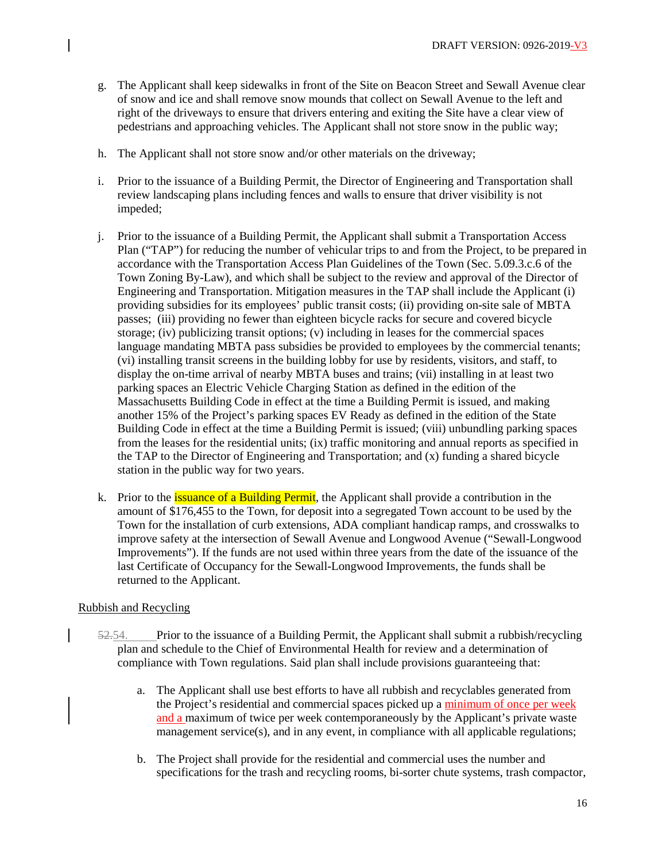- g. The Applicant shall keep sidewalks in front of the Site on Beacon Street and Sewall Avenue clear of snow and ice and shall remove snow mounds that collect on Sewall Avenue to the left and right of the driveways to ensure that drivers entering and exiting the Site have a clear view of pedestrians and approaching vehicles. The Applicant shall not store snow in the public way;
- h. The Applicant shall not store snow and/or other materials on the driveway;
- i. Prior to the issuance of a Building Permit, the Director of Engineering and Transportation shall review landscaping plans including fences and walls to ensure that driver visibility is not impeded;
- j. Prior to the issuance of a Building Permit, the Applicant shall submit a Transportation Access Plan ("TAP") for reducing the number of vehicular trips to and from the Project, to be prepared in accordance with the Transportation Access Plan Guidelines of the Town (Sec. 5.09.3.c.6 of the Town Zoning By-Law), and which shall be subject to the review and approval of the Director of Engineering and Transportation. Mitigation measures in the TAP shall include the Applicant (i) providing subsidies for its employees' public transit costs; (ii) providing on-site sale of MBTA passes; (iii) providing no fewer than eighteen bicycle racks for secure and covered bicycle storage; (iv) publicizing transit options; (v) including in leases for the commercial spaces language mandating MBTA pass subsidies be provided to employees by the commercial tenants; (vi) installing transit screens in the building lobby for use by residents, visitors, and staff, to display the on-time arrival of nearby MBTA buses and trains; (vii) installing in at least two parking spaces an Electric Vehicle Charging Station as defined in the edition of the Massachusetts Building Code in effect at the time a Building Permit is issued, and making another 15% of the Project's parking spaces EV Ready as defined in the edition of the State Building Code in effect at the time a Building Permit is issued; (viii) unbundling parking spaces from the leases for the residential units; (ix) traffic monitoring and annual reports as specified in the TAP to the Director of Engineering and Transportation; and (x) funding a shared bicycle station in the public way for two years.
- k. Prior to the *issuance of a Building Permit*, the Applicant shall provide a contribution in the amount of \$176,455 to the Town, for deposit into a segregated Town account to be used by the Town for the installation of curb extensions, ADA compliant handicap ramps, and crosswalks to improve safety at the intersection of Sewall Avenue and Longwood Avenue ("Sewall-Longwood Improvements"). If the funds are not used within three years from the date of the issuance of the last Certificate of Occupancy for the Sewall-Longwood Improvements, the funds shall be returned to the Applicant.

# Rubbish and Recycling

- $52.54.$  Prior to the issuance of a Building Permit, the Applicant shall submit a rubbish/recycling plan and schedule to the Chief of Environmental Health for review and a determination of compliance with Town regulations. Said plan shall include provisions guaranteeing that:
	- a. The Applicant shall use best efforts to have all rubbish and recyclables generated from the Project's residential and commercial spaces picked up a minimum of once per week and a maximum of twice per week contemporaneously by the Applicant's private waste management service(s), and in any event, in compliance with all applicable regulations;
	- b. The Project shall provide for the residential and commercial uses the number and specifications for the trash and recycling rooms, bi-sorter chute systems, trash compactor,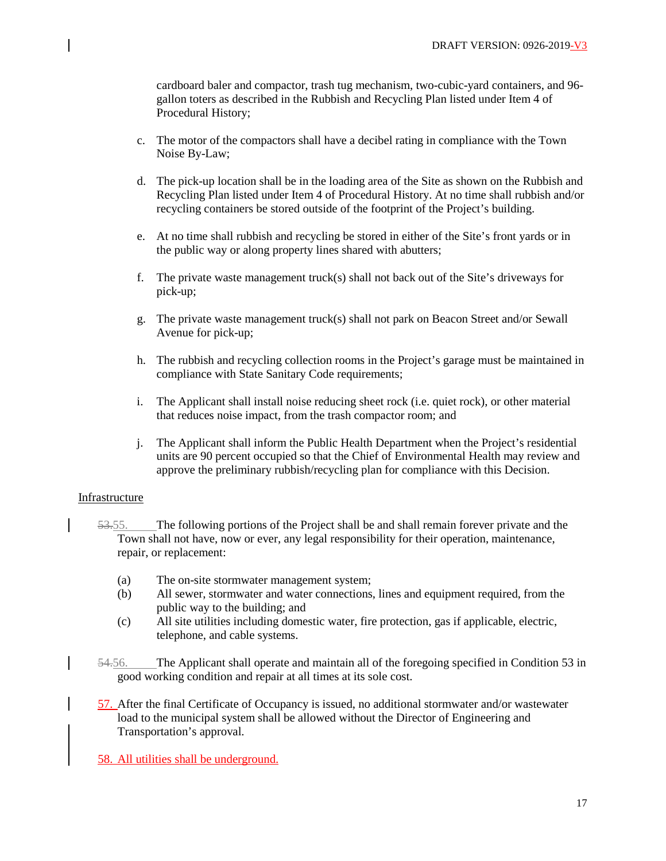cardboard baler and compactor, trash tug mechanism, two-cubic-yard containers, and 96 gallon toters as described in the Rubbish and Recycling Plan listed under Item 4 of Procedural History;

- c. The motor of the compactors shall have a decibel rating in compliance with the Town Noise By-Law;
- d. The pick-up location shall be in the loading area of the Site as shown on the Rubbish and Recycling Plan listed under Item 4 of Procedural History. At no time shall rubbish and/or recycling containers be stored outside of the footprint of the Project's building.
- e. At no time shall rubbish and recycling be stored in either of the Site's front yards or in the public way or along property lines shared with abutters;
- f. The private waste management truck(s) shall not back out of the Site's driveways for pick-up;
- g. The private waste management truck(s) shall not park on Beacon Street and/or Sewall Avenue for pick-up;
- h. The rubbish and recycling collection rooms in the Project's garage must be maintained in compliance with State Sanitary Code requirements;
- i. The Applicant shall install noise reducing sheet rock (i.e. quiet rock), or other material that reduces noise impact, from the trash compactor room; and
- j. The Applicant shall inform the Public Health Department when the Project's residential units are 90 percent occupied so that the Chief of Environmental Health may review and approve the preliminary rubbish/recycling plan for compliance with this Decision.

## Infrastructure

- 53.55. The following portions of the Project shall be and shall remain forever private and the Town shall not have, now or ever, any legal responsibility for their operation, maintenance, repair, or replacement:
	- (a) The on-site stormwater management system;
	- (b) All sewer, stormwater and water connections, lines and equipment required, from the public way to the building; and
	- (c) All site utilities including domestic water, fire protection, gas if applicable, electric, telephone, and cable systems.
- 54.56. The Applicant shall operate and maintain all of the foregoing specified in Condition 53 in good working condition and repair at all times at its sole cost.
- 57. After the final Certificate of Occupancy is issued, no additional stormwater and/or wastewater load to the municipal system shall be allowed without the Director of Engineering and Transportation's approval.

58. All utilities shall be underground.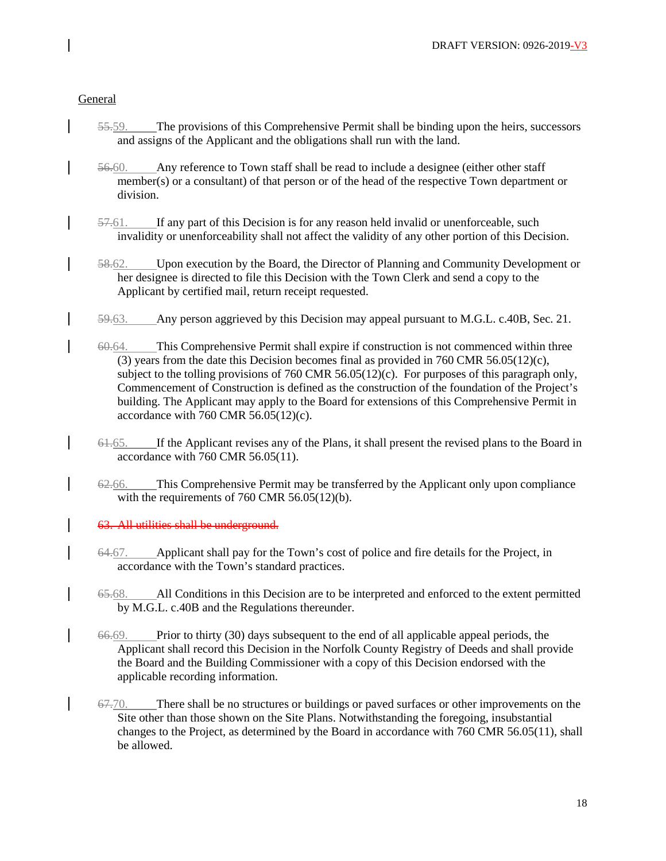# General

- 55.59. The provisions of this Comprehensive Permit shall be binding upon the heirs, successors and assigns of the Applicant and the obligations shall run with the land.
- 56.60. Any reference to Town staff shall be read to include a designee (either other staff member(s) or a consultant) of that person or of the head of the respective Town department or division.
- 57.61. If any part of this Decision is for any reason held invalid or unenforceable, such invalidity or unenforceability shall not affect the validity of any other portion of this Decision.
- 58.62. Upon execution by the Board, the Director of Planning and Community Development or her designee is directed to file this Decision with the Town Clerk and send a copy to the Applicant by certified mail, return receipt requested.
- 59.63. Any person aggrieved by this Decision may appeal pursuant to M.G.L. c.40B, Sec. 21.
- 60.64. This Comprehensive Permit shall expire if construction is not commenced within three (3) years from the date this Decision becomes final as provided in 760 CMR 56.05(12)(c), subject to the tolling provisions of 760 CMR 56.05(12)(c). For purposes of this paragraph only, Commencement of Construction is defined as the construction of the foundation of the Project's building. The Applicant may apply to the Board for extensions of this Comprehensive Permit in accordance with 760 CMR  $56.05(12)(c)$ .
- 61.65. If the Applicant revises any of the Plans, it shall present the revised plans to the Board in accordance with 760 CMR 56.05(11).
- 62.66. This Comprehensive Permit may be transferred by the Applicant only upon compliance with the requirements of 760 CMR 56.05(12)(b).

63. All utilities shall be underground.

- 64.67. Applicant shall pay for the Town's cost of police and fire details for the Project, in accordance with the Town's standard practices.
- 65.68. All Conditions in this Decision are to be interpreted and enforced to the extent permitted by M.G.L. c.40B and the Regulations thereunder.
- 66.69. Prior to thirty (30) days subsequent to the end of all applicable appeal periods, the Applicant shall record this Decision in the Norfolk County Registry of Deeds and shall provide the Board and the Building Commissioner with a copy of this Decision endorsed with the applicable recording information.
- $67-70$ . There shall be no structures or buildings or paved surfaces or other improvements on the Site other than those shown on the Site Plans. Notwithstanding the foregoing, insubstantial changes to the Project, as determined by the Board in accordance with 760 CMR 56.05(11), shall be allowed.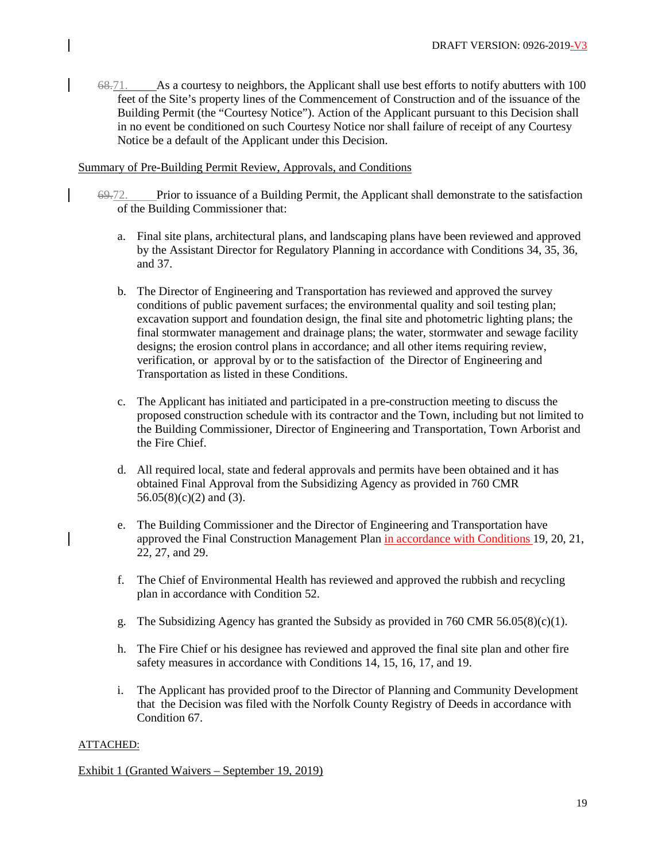$68-71$ . As a courtesy to neighbors, the Applicant shall use best efforts to notify abutters with 100 feet of the Site's property lines of the Commencement of Construction and of the issuance of the Building Permit (the "Courtesy Notice"). Action of the Applicant pursuant to this Decision shall in no event be conditioned on such Courtesy Notice nor shall failure of receipt of any Courtesy Notice be a default of the Applicant under this Decision.

# Summary of Pre-Building Permit Review, Approvals, and Conditions

- 69.72. Prior to issuance of a Building Permit, the Applicant shall demonstrate to the satisfaction of the Building Commissioner that:
	- a. Final site plans, architectural plans, and landscaping plans have been reviewed and approved by the Assistant Director for Regulatory Planning in accordance with Conditions 34, 35, 36, and 37.
	- b. The Director of Engineering and Transportation has reviewed and approved the survey conditions of public pavement surfaces; the environmental quality and soil testing plan; excavation support and foundation design, the final site and photometric lighting plans; the final stormwater management and drainage plans; the water, stormwater and sewage facility designs; the erosion control plans in accordance; and all other items requiring review, verification, or approval by or to the satisfaction of the Director of Engineering and Transportation as listed in these Conditions.
	- c. The Applicant has initiated and participated in a pre-construction meeting to discuss the proposed construction schedule with its contractor and the Town, including but not limited to the Building Commissioner, Director of Engineering and Transportation, Town Arborist and the Fire Chief.
	- d. All required local, state and federal approvals and permits have been obtained and it has obtained Final Approval from the Subsidizing Agency as provided in 760 CMR 56.05(8)(c)(2) and (3).
	- e. The Building Commissioner and the Director of Engineering and Transportation have approved the Final Construction Management Plan in accordance with Conditions 19, 20, 21, 22, 27, and 29.
	- f. The Chief of Environmental Health has reviewed and approved the rubbish and recycling plan in accordance with Condition 52.
	- g. The Subsidizing Agency has granted the Subsidy as provided in  $760$  CMR  $56.05(8)(c)(1)$ .
	- h. The Fire Chief or his designee has reviewed and approved the final site plan and other fire safety measures in accordance with Conditions 14, 15, 16, 17, and 19.
	- i. The Applicant has provided proof to the Director of Planning and Community Development that the Decision was filed with the Norfolk County Registry of Deeds in accordance with Condition 67.

## ATTACHED:

Exhibit 1 (Granted Waivers – September 19, 2019)